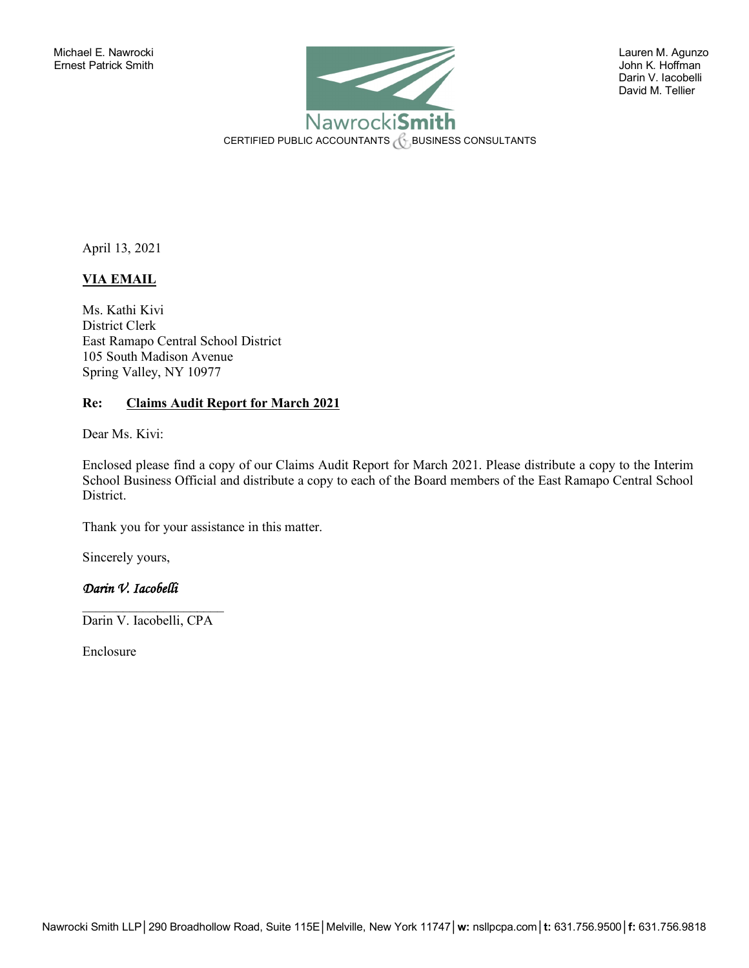

 Darin V. Iacobelli David M. Tellier

April 13, 2021

# **VIA EMAIL**

Ms. Kathi Kivi District Clerk East Ramapo Central School District 105 South Madison Avenue Spring Valley, NY 10977

## **Re: Claims Audit Report for March 2021**

Dear Ms. Kivi:

Enclosed please find a copy of our Claims Audit Report for March 2021. Please distribute a copy to the Interim School Business Official and distribute a copy to each of the Board members of the East Ramapo Central School District.

Thank you for your assistance in this matter.

Sincerely yours,

## *Darin V. Iacobelli*

 $\overline{\phantom{a}}$  , where  $\overline{\phantom{a}}$ Darin V. Iacobelli, CPA

Enclosure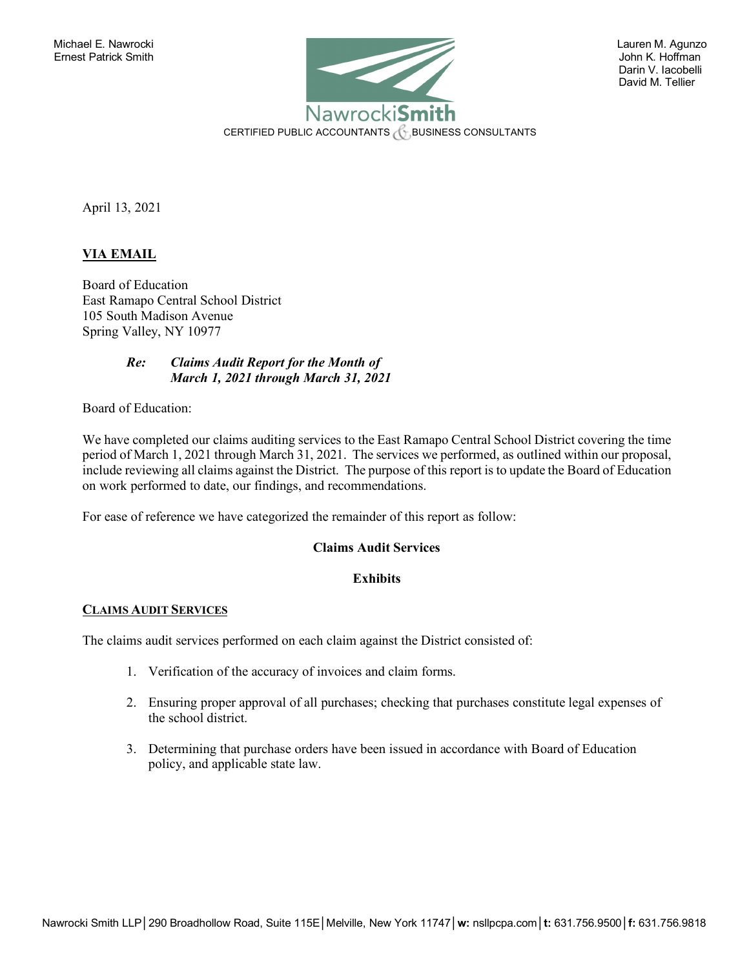

 Darin V. Iacobelli David M. Tellier

April 13, 2021

## **VIA EMAIL**

Board of Education East Ramapo Central School District 105 South Madison Avenue Spring Valley, NY 10977

## *Re: Claims Audit Report for the Month of March 1, 2021 through March 31, 2021*

Board of Education:

We have completed our claims auditing services to the East Ramapo Central School District covering the time period of March 1, 2021 through March 31, 2021. The services we performed, as outlined within our proposal, include reviewing all claims against the District. The purpose of this report is to update the Board of Education on work performed to date, our findings, and recommendations.

For ease of reference we have categorized the remainder of this report as follow:

## **Claims Audit Services**

## **Exhibits**

## **CLAIMS AUDIT SERVICES**

The claims audit services performed on each claim against the District consisted of:

- 1. Verification of the accuracy of invoices and claim forms.
- 2. Ensuring proper approval of all purchases; checking that purchases constitute legal expenses of the school district.
- 3. Determining that purchase orders have been issued in accordance with Board of Education policy, and applicable state law.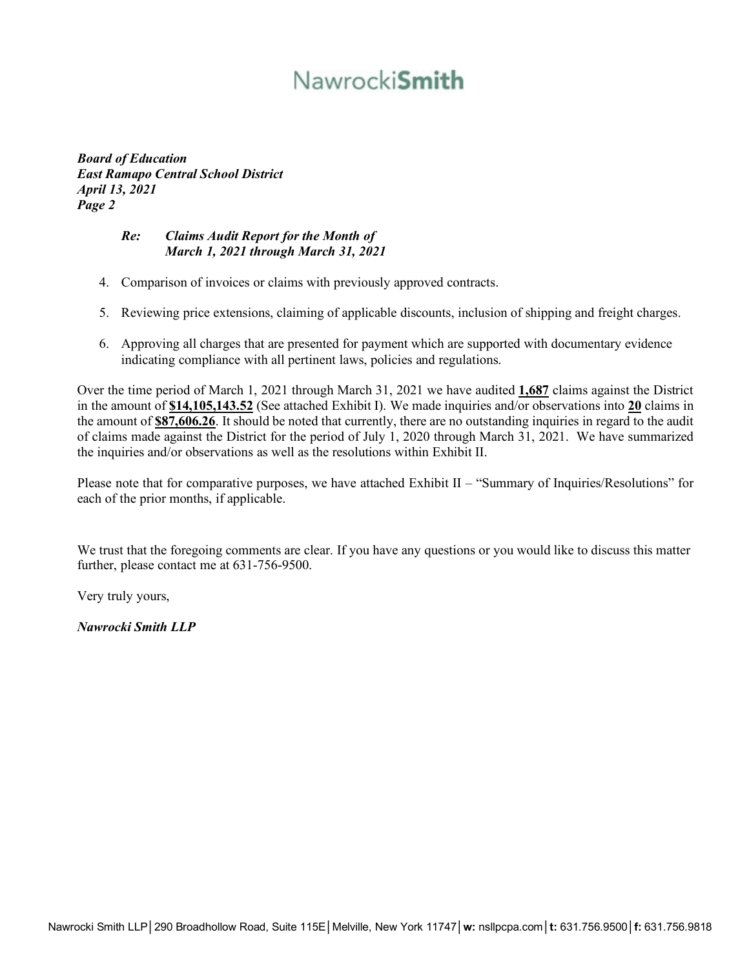# Nawrocki**Smith**

*Board of Education East Ramapo Central School District April 13, 2021 Page 2*

## *Re: Claims Audit Report for the Month of March 1, 2021 through March 31, 2021*

- 4. Comparison of invoices or claims with previously approved contracts.
- 5. Reviewing price extensions, claiming of applicable discounts, inclusion of shipping and freight charges.
- 6. Approving all charges that are presented for payment which are supported with documentary evidence indicating compliance with all pertinent laws, policies and regulations.

Over the time period of March 1, 2021 through March 31, 2021 we have audited **1,687** claims against the District in the amount of **\$14,105,143.52** (See attached Exhibit I). We made inquiries and/or observations into **20** claims in the amount of **\$87,606.26**. It should be noted that currently, there are no outstanding inquiries in regard to the audit of claims made against the District for the period of July 1, 2020 through March 31, 2021. We have summarized the inquiries and/or observations as well as the resolutions within Exhibit II.

Please note that for comparative purposes, we have attached Exhibit II – "Summary of Inquiries/Resolutions" for each of the prior months, if applicable.

We trust that the foregoing comments are clear. If you have any questions or you would like to discuss this matter further, please contact me at 631-756-9500.

Very truly yours,

*Nawrocki Smith LLP*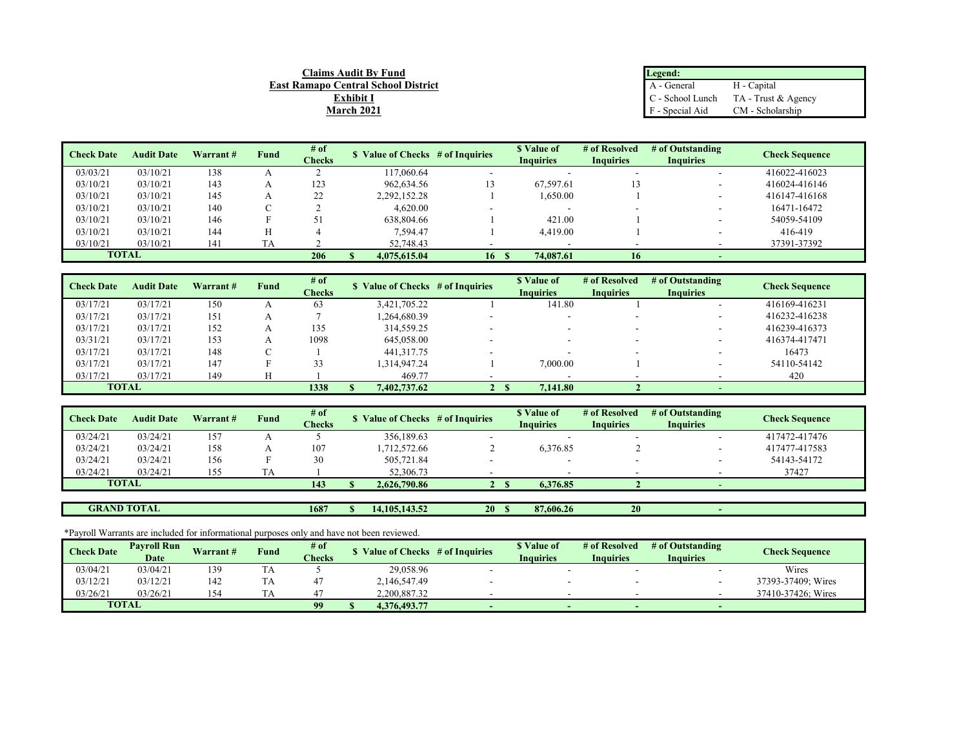| Legend:                  |                     |
|--------------------------|---------------------|
| $\overline{A}$ - General | H - Capital         |
| C - School Lunch         | TA - Trust & Agency |
| F - Special Aid          | CM - Scholarship    |

| <b>Check Date</b> | <b>Audit Date</b> | Warrant# | Fund | # of   | \$ Value of Checks # of Inquiries |    | \$ Value of      | # of Resolved    | # of Outstanding         | <b>Check Sequence</b> |
|-------------------|-------------------|----------|------|--------|-----------------------------------|----|------------------|------------------|--------------------------|-----------------------|
|                   |                   |          |      | Checks |                                   |    | <b>Inquiries</b> | <b>Inquiries</b> | <b>Inquiries</b>         |                       |
| 03/03/21          | 03/10/21          | 138      |      |        | 117,060.64                        |    |                  |                  | $\overline{\phantom{a}}$ | 416022-416023         |
| 03/10/21          | 03/10/21          | 143      |      | 123    | 962,634.56                        |    | 67,597.61        | 13               |                          | 416024-416146         |
| 03/10/21          | 03/10/21          | 145      |      | 22     | 2,292,152.28                      |    | 1.650.00         |                  | $\overline{\phantom{a}}$ | 416147-416168         |
| 03/10/21          | 03/10/21          | 140      |      |        | 4,620.00                          |    |                  |                  | $\overline{\phantom{a}}$ | 16471-16472           |
| 03/10/21          | 03/10/21          | 146      |      | $\leq$ | 638,804.66                        |    | 421.00           |                  | $\sim$                   | 54059-54109           |
| 03/10/21          | 03/10/21          | 144      |      |        | 7.594.47                          |    | 4,419.00         |                  |                          | 416-419               |
| 03/10/21          | 03/10/21          | 141      | TA   |        | 52,748.43                         |    |                  |                  |                          | 37391-37392           |
| <b>TOTAL</b>      |                   |          |      | 206    | 4,075,615,04                      | 16 | 74,087.61        | 16               | $\sim$                   |                       |

**Claims Audit By Fund East Ramapo Central School District Exhibit I March 2021**

| <b>Check Date</b> | <b>Audit Date</b> | Warrant# | Fund | # of          | \$ Value of Checks # of Inquiries |              | \$ Value of      | # of Resolved            | # of Outstanding         | <b>Check Sequence</b> |
|-------------------|-------------------|----------|------|---------------|-----------------------------------|--------------|------------------|--------------------------|--------------------------|-----------------------|
|                   |                   |          |      | <b>Checks</b> |                                   |              | <b>Inquiries</b> | <b>Inquiries</b>         | <b>Inquiries</b>         |                       |
| 03/17/21          | 03/17/21          | 150      |      | 63            | 3.421.705.22                      |              | 141.80           |                          | $\overline{\phantom{a}}$ | 416169-416231         |
| 03/17/21          | 03/17/21          | 151      |      |               | 1.264.680.39                      |              |                  |                          | $\sim$                   | 416232-416238         |
| 03/17/21          | 03/17/21          | 152      |      | 135           | 314,559.25                        |              |                  |                          | $\overline{\phantom{a}}$ | 416239-416373         |
| 03/31/21          | 03/17/21          | 153      |      | 1098          | 645,058.00                        |              |                  |                          |                          | 416374-417471         |
| 03/17/21          | 03/17/21          | 148      |      |               | 441, 317. 75                      |              | -                | $\overline{\phantom{a}}$ | $\overline{\phantom{a}}$ | 16473                 |
| 03/17/21          | 03/17/21          | 147      |      |               | 1.314.947.24                      |              | 7,000.00         |                          |                          | 54110-54142           |
| 03/17/21          | 03/17/21          | 149      |      |               | 469.77                            |              |                  |                          |                          | 420                   |
|                   | <b>TOTAL</b>      |          |      | 1338          | 7,402,737.62                      | $\mathbf{2}$ | 7,141.80         |                          | <b>.</b>                 |                       |

| <b>Check Date</b> | <b>Audit Date</b> | Warrant# | Fund | # of          | Value of Checks # of Inquiries |  | \$ Value of      | # of Resolved    | # of Outstanding | <b>Check Sequence</b> |
|-------------------|-------------------|----------|------|---------------|--------------------------------|--|------------------|------------------|------------------|-----------------------|
|                   |                   |          |      | <b>Checks</b> |                                |  | <b>Inquiries</b> | <b>Inquiries</b> | <b>Inquiries</b> |                       |
| 03/24/21          | 03/24/21          | 157      |      |               | 356,189.63                     |  |                  | ۰                |                  | 417472-417476         |
| 03/24/21          | 03/24/21          | 158      |      | 107           | 1.712.572.66                   |  | 6,376.85         |                  |                  | 417477-417583         |
| 03/24/21          | 03/24/21          | 156      |      | 30            | 505,721.84                     |  |                  | ۰                |                  | 54143-54172           |
| 03/24/21          | 03/24/21          | 155      |      |               | 52,306.73                      |  |                  |                  |                  | 37427                 |
| <b>TOTAL</b>      |                   |          |      | 143           | 2.626,790.86                   |  | 6.376.85         |                  |                  |                       |
|                   |                   |          |      |               |                                |  |                  |                  |                  |                       |

**1687 \$** 14,105,143.52 **20 \$** 87,606.26 **20** 

### \*Payroll Warrants are included for informational purposes only and have not been reviewed.

**GRAND TOTAL**

| <b>Check Date</b> | <b>Pavroll Run</b> | Warrant# |      | $#$ of        |              | Value of Checks # of Inquiries | <sup><i><b>v</b></i></sup> Value of | # of Resolved    | # of Outstanding | <b>Check Sequence</b> |
|-------------------|--------------------|----------|------|---------------|--------------|--------------------------------|-------------------------------------|------------------|------------------|-----------------------|
|                   | Date               |          | Fund | <b>Checks</b> |              |                                | <b>Inquiries</b>                    | <b>Inquiries</b> | <b>Inquiries</b> |                       |
| 03/04/21          | 03/04/21           | 139      | IΑ   |               | 29,058.96    |                                |                                     |                  |                  | Wires                 |
| 03/12/21          | 03/12/21           | 142      |      |               | 2,146,547.49 |                                |                                     |                  |                  | 37393-37409; Wires    |
| 03/26/21          | 03/26/21           | 154      |      |               | 2.200.887.32 |                                |                                     |                  |                  | 37410-37426; Wires    |
|                   | <b>TOTAL</b>       |          |      | 90            | 4.376.493.77 |                                |                                     |                  |                  |                       |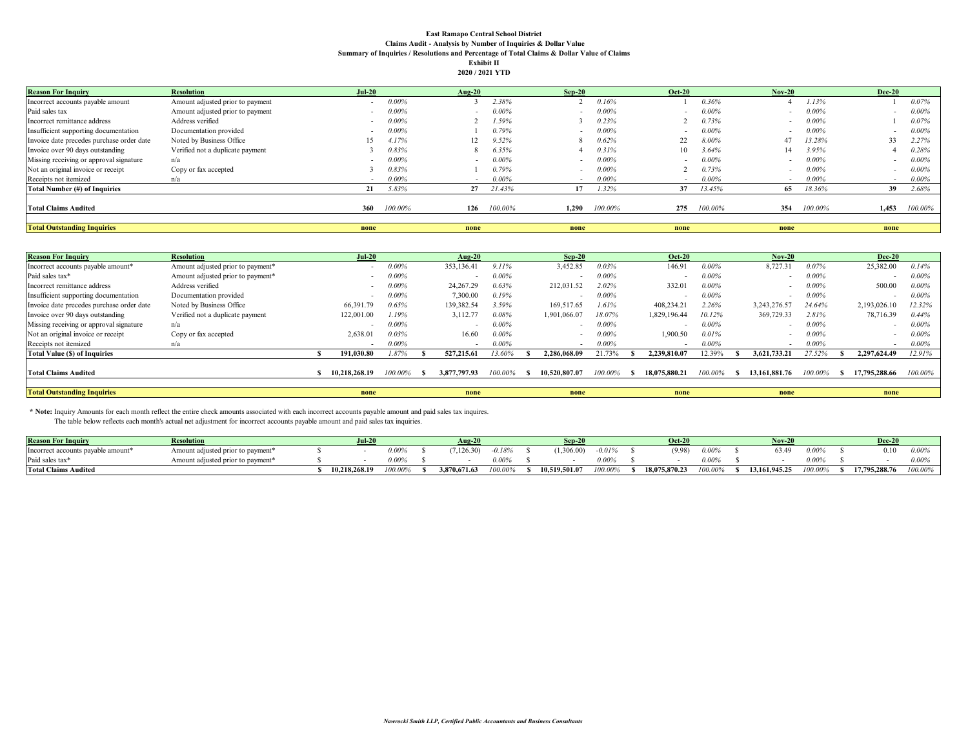#### **East Ramapo Central School District Claims Audit - Analysis by Number of Inquiries & Dollar Value Summary of Inquiries / Resolutions and Percentage of Total Claims & Dollar Value of Claims Exhibit II 2020 / 2021 YTD**

| <b>Reason For Inquiry</b>                 | <b>Resolution</b>                | $Jul-20$ |         | $Aug-20$ |             | $Sep-20$                 |         | $Oct-20$                 |          | $Nov-20$ |          | <b>Dec-20</b> |          |
|-------------------------------------------|----------------------------------|----------|---------|----------|-------------|--------------------------|---------|--------------------------|----------|----------|----------|---------------|----------|
| Incorrect accounts payable amount         | Amount adjusted prior to payment |          | 0.00%   |          | 2.38%       |                          | 0.16%   |                          | 0.36%    |          | 1.13%    |               | 0.07%    |
| Paid sales tax                            | Amount adjusted prior to payment |          | 0.00%   |          | $0.00\%$    |                          | 0.00%   |                          | $0.00\%$ |          | $0.00\%$ |               | $0.00\%$ |
| Incorrect remittance address              | Address verified                 |          | 0.00%   |          | 1.59%       |                          | 0.23%   |                          | 0.73%    |          | $0.00\%$ |               | 0.07%    |
| Insufficient supporting documentation     | Documentation provided           |          | 0.00%   |          | 0.79%       |                          | 0.00%   | $\sim$                   | $0.00\%$ |          | $0.00\%$ |               | $0.00\%$ |
| Invoice date precedes purchase order date | Noted by Business Office         | 15       | 4.17%   |          | 9.52%       |                          | 0.62%   |                          | 8.00%    | 47       | 13.28%   | 33            | 2.27%    |
| Invoice over 90 days outstanding          | Verified not a duplicate payment |          | 0.83%   |          | 6.35%       |                          | 0.31%   | 10.                      | 3.64%    | 14       | 3.95%    |               | 0.28%    |
| Missing receiving or approval signature   | n/a                              |          | 0.00%   | $\sim$   | 0.00%       |                          | 0.00%   | $\overline{\phantom{a}}$ | $0.00\%$ |          | $0.00\%$ |               | $0.00\%$ |
| Not an original invoice or receipt        | Copy or fax accepted             |          | 0.83%   |          | $0.79\%$    |                          | 0.00%   |                          | 0.73%    |          | $0.00\%$ |               | $0.00\%$ |
| Receipts not itemized                     | n/a                              |          | 0.00%   |          | $0.00\%$    | $\overline{\phantom{a}}$ | 0.00%   | $\sim$                   | $0.00\%$ |          | $0.00\%$ | $\sim$        | $0.00\%$ |
| Total Number (#) of Inquiries             |                                  | 21       | 5.83%   |          | 27 21.43%   | 17                       | 1.32%   | 37                       | 13.45%   | 65       | 18.36%   | 39            | 2.68%    |
| <b>Total Claims Audited</b>               |                                  | 360      | 100.00% |          | 126 100.00% | 1.290                    | 100.00% | 275                      | 100.00%  | 354      | 100.00%  | 1,453         | 100.00%  |
| <b>Total Outstanding Inquiries</b>        |                                  | none     |         | none     |             | none                     |         | none                     |          | none     |          | none          |          |

| <b>Reason For Inquiry</b>                 | <b>Resolution</b>                 | Jul-20                   |          | Aug-20       |          | $Sep-20$      |         | <b>Oct-20</b> |         | $Nov-20$      |          | <b>Dec-20</b>            |          |
|-------------------------------------------|-----------------------------------|--------------------------|----------|--------------|----------|---------------|---------|---------------|---------|---------------|----------|--------------------------|----------|
| Incorrect accounts payable amount*        | Amount adjusted prior to payment* |                          | 0.00%    | 353,136.41   | 9.11%    | 3,452.85      | 0.03%   | 146.91        | 0.00%   | 8,727.3       | 0.07%    | 25,382.00                | 0.14%    |
| Paid sales tax*                           | Amount adjusted prior to payment* |                          | $0.00\%$ |              | 0.00%    |               | 0.00%   |               | 0.00%   |               | $0.00\%$ |                          | 0.00%    |
| Incorrect remittance address              | Address verified                  |                          | 0.00%    | 24,267.29    | 0.63%    | 212,031.52    | 2.02%   | 332.0         | 0.00%   |               | $0.00\%$ | 500.00                   | $0.00\%$ |
| Insufficient supporting documentation     | Documentation provided            |                          | 0.00%    | 7,300.00     | 0.19%    |               | 0.00%   |               | 0.00%   |               | $0.00\%$ |                          | $0.00\%$ |
| Invoice date precedes purchase order date | Noted by Business Office          | 66,391.79                | 0.65%    | 139,382.54   | 3.59%    | 169,517.65    | 1.61%   | 408,234.2     | 2.26%   | 3.243.276.5   | 24.64%   | 2,193,026.10             | 12.32%   |
| Invoice over 90 days outstanding          | Verified not a duplicate payment  | 122,001.00               | 1.19%    | 3,112.77     | 0.08%    | 1,901,066.07  | 18.07%  | 1,829,196.44  | 10.12%  | 369,729.33    | 2.81%    | 78,716.39                | 0.44%    |
| Missing receiving or approval signature   | n/a                               |                          | 0.00%    | $\sim$       | 0.00%    |               | 0.00%   |               | 0.00%   |               | $0.00\%$ | $\overline{\phantom{a}}$ | 0.00%    |
| Not an original invoice or receipt        | Copy or fax accepted              | 2.638.01                 | 0.03%    | 16.60        | $0.00\%$ |               | 0.00%   | .900.50       | 0.01%   |               | $0.00\%$ |                          | $0.00\%$ |
| Receipts not itemized                     | n/a                               | $\overline{\phantom{0}}$ | 0.00%    |              | 0.00%    |               | 0.00%   |               | 0.00%   |               | $0.00\%$ |                          | $0.00\%$ |
| <b>Total Value (\$) of Inquiries</b>      |                                   | 191.030.80               | 1.87%    | 527,215.61   | 13.60%   | 2.286.068.09  | 21.73%  | 2,239,810.07  | ، 2.39% | 3.621.733.21  | 27.52%   | 2.297.624.49             | 12.91%   |
| <b>Total Claims Audited</b>               |                                   | 10.218.268.19            | 100.00%  | 3,877,797.93 | 100.00%  | 10,520,807.07 | 100.00% | 18,075,880.21 | 100.00% | 13.161.881.76 | 100.00%  | 17,795,288.66            | 100.00%  |
|                                           |                                   |                          |          |              |          |               |         |               |         |               |          |                          |          |
| <b>Total Outstanding Inquiries</b>        |                                   | none                     |          | none         |          | none          |         | none          |         | none          |          | none                     |          |

 **\* Note:** Inquiry Amounts for each month reflect the entire check amounts associated with each incorrect accounts payable amount and paid sales tax inquires.

The table below reflects each month's actual net adjustment for incorrect accounts payable amount and paid sales tax inquiries.

| <b>Reason For Inquiry</b>                      | <b>Resolution</b>                    | $-1.20$<br>Jul-2 |         | $A$ ug-2 $\rho$   |         | $Sen-20$      |          | $Oct-20$      |          | $Nov-2$      |           | Dec-2         |         |
|------------------------------------------------|--------------------------------------|------------------|---------|-------------------|---------|---------------|----------|---------------|----------|--------------|-----------|---------------|---------|
| Incorrect accounts payable amount <sup>*</sup> | adjusted prior to payment'<br>Amount |                  | $.00\%$ | $,126.30^{\circ}$ | 0.18%   | .306.00)      | $-0.01%$ | (9.98)        | 0.009    | 63.49        | I 00%     | 0.10          |         |
| Paid sales tax*                                | adjusted prior to payment*<br>Amount |                  | 1.00%   |                   | 0.00%   |               | $0.00\%$ |               | $0.00\%$ |              | $0.00\%$  |               |         |
| <b>Total Claims Audited</b>                    |                                      | 10.218.268.19    | 100.00% | 3,870,671.6?      | 100.00% | .0.519.501.07 | 100.00%  | 18,075,870.23 | ,00,00%  | 3,161,945.25 | $00.00\%$ | 17,795,288.76 | 100.00% |